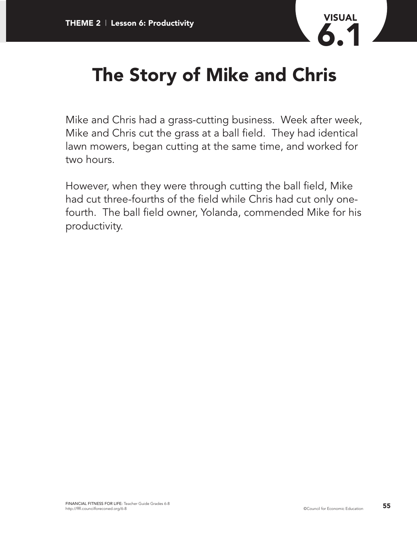

## **The Story of Mike and Chris**

Mike and Chris had a grass-cutting business. Week after week, Mike and Chris cut the grass at a ball field. They had identical lawn mowers, began cutting at the same time, and worked for two hours.

However, when they were through cutting the ball field, Mike had cut three-fourths of the field while Chris had cut only onefourth. The ball field owner, Yolanda, commended Mike for his productivity.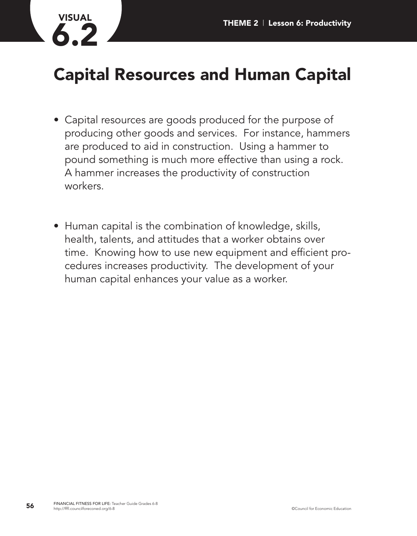

## **Capital Resources and Human Capital**

- Capital resources are goods produced for the purpose of producing other goods and services. For instance, hammers are produced to aid in construction. Using a hammer to pound something is much more effective than using a rock. A hammer increases the productivity of construction workers.
- Human capital is the combination of knowledge, skills, health, talents, and attitudes that a worker obtains over time. Knowing how to use new equipment and efficient procedures increases productivity. The development of your human capital enhances your value as a worker.